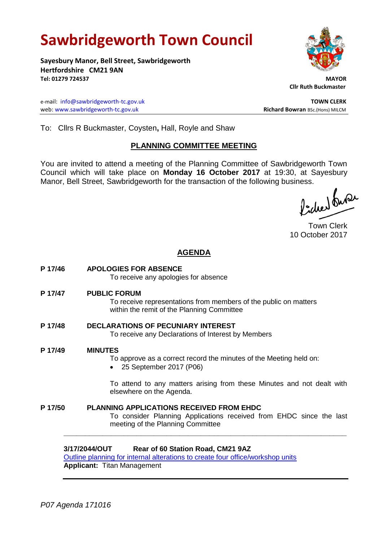# **Sawbridgeworth Town Council**

**Sayesbury Manor, Bell Street, Sawbridgeworth Hertfordshire CM21 9AN Tel: 01279 724537 MAYOR**

e-mail: [info@sawbridgeworth-tc.gov.uk](mailto:info@sawbridgeworth-tc.gov.uk) **TOWN CLERK** web: www.sawbridgeworth-tc.gov.uk<br> **Richard Bowran** BSc.(Hons) MILCM



 **Cllr Ruth Buckmaster** 

To: Cllrs R Buckmaster, Coysten**,** Hall, Royle and Shaw

## **PLANNING COMMITTEE MEETING**

You are invited to attend a meeting of the Planning Committee of Sawbridgeworth Town Council which will take place on **Monday 16 October 2017** at 19:30, at Sayesbury Manor, Bell Street, Sawbridgeworth for the transaction of the following business.<br>  $\Lambda$ ,  $\Lambda$ ,  $\Lambda$ ,  $\Omega$ 

Town Clerk 10 October 2017

## **AGENDA**

**P 17/46 APOLOGIES FOR ABSENCE** To receive any apologies for absence **P 17/47 PUBLIC FORUM** To receive representations from members of the public on matters within the remit of the Planning Committee **P 17/48 DECLARATIONS OF PECUNIARY INTEREST** To receive any Declarations of Interest by Members **P 17/49 MINUTES** To approve as a correct record the minutes of the Meeting held on: 25 September 2017 (P06) To attend to any matters arising from these Minutes and not dealt with elsewhere on the Agenda. **P 17/50 PLANNING APPLICATIONS RECEIVED FROM EHDC** To consider Planning Applications received from EHDC since the last meeting of the Planning Committee **\_\_\_\_\_\_\_\_\_\_\_\_\_\_\_\_\_\_\_\_\_\_\_\_\_\_\_\_\_\_\_\_\_\_\_\_\_\_\_\_\_\_\_\_\_\_\_\_\_\_\_\_\_\_\_\_\_\_\_\_\_\_\_\_\_\_**

## **3/17/2044/OUT Rear of 60 Station Road, CM21 9AZ**

[Outline planning for internal alterations to create four office/workshop units](https://publicaccess.eastherts.gov.uk/online-applications/applicationDetails.do?activeTab=summary&keyVal=OVR36PGL00X00) **Applicant:** Titan Management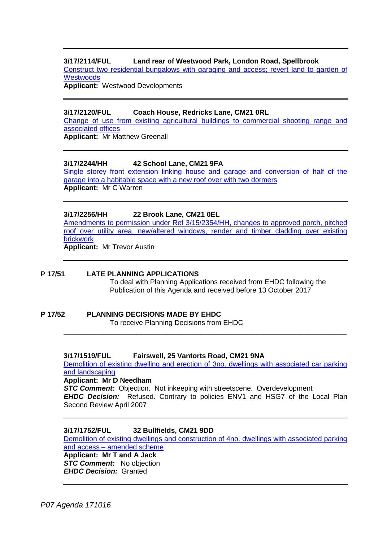### **3/17/2114/FUL Land rear of Westwood Park, London Road, Spellbrook**

[Construct two residential bungalows with garaging and](https://publicaccess.eastherts.gov.uk/online-applications/applicationDetails.do?activeTab=summary&keyVal=OW5S0OGL04800) access; revert land to garden of **[Westwoods](https://publicaccess.eastherts.gov.uk/online-applications/applicationDetails.do?activeTab=summary&keyVal=OW5S0OGL04800)** 

**Applicant:** Westwood Developments

#### **3/17/2120/FUL Coach House, Redricks Lane, CM21 0RL**

[Change of use from existing agricultural buildings to commercial shooting range and](https://publicaccess.eastherts.gov.uk/online-applications/applicationDetails.do?keyVal=OW7I5WGLIH700&activeTab=summary)  [associated offices](https://publicaccess.eastherts.gov.uk/online-applications/applicationDetails.do?keyVal=OW7I5WGLIH700&activeTab=summary)

**Applicant:** Mr Matthew Greenall

#### **3/17/2244/HH 42 School Lane, CM21 9FA**

[Single storey front extension linking house and garage and conversion of half of the](https://publicaccess.eastherts.gov.uk/online-applications/applicationDetails.do?activeTab=summary&keyVal=OWVTTGGL00X00)  [garage into a habitable space with a new roof over with two dormers](https://publicaccess.eastherts.gov.uk/online-applications/applicationDetails.do?activeTab=summary&keyVal=OWVTTGGL00X00) **Applicant:** Mr C Warren

#### **3/17/2256/HH 22 Brook Lane, CM21 0EL**

[Amendments to permission under Ref 3/15/2354/HH, changes to approved porch, pitched](https://publicaccess.eastherts.gov.uk/online-applications/applicationDetails.do?keyVal=OWXFJDGLIO100&activeTab=summary)  [roof over utility area, new/altered windows, render and timber cladding over existing](https://publicaccess.eastherts.gov.uk/online-applications/applicationDetails.do?keyVal=OWXFJDGLIO100&activeTab=summary)  [brickwork](https://publicaccess.eastherts.gov.uk/online-applications/applicationDetails.do?keyVal=OWXFJDGLIO100&activeTab=summary)

**Applicant:** Mr Trevor Austin

#### **P 17/51 LATE PLANNING APPLICATIONS**

To deal with Planning Applications received from EHDC following the Publication of this Agenda and received before 13 October 2017

#### **P 17/52 PLANNING DECISIONS MADE BY EHDC** To receive Planning Decisions from EHDC

**3/17/1519/FUL Fairswell, 25 Vantorts Road, CM21 9NA**

[Demolition of existing dwelling and erection of 3no. dwellings with associated car parking](https://publicaccess.eastherts.gov.uk/online-applications/applicationDetails.do?keyVal=OSAV24GL00X00&activeTab=summary)  [and landscaping](https://publicaccess.eastherts.gov.uk/online-applications/applicationDetails.do?keyVal=OSAV24GL00X00&activeTab=summary)

**\_\_\_\_\_\_\_\_\_\_\_\_\_\_\_\_\_\_\_\_\_\_\_\_\_\_\_\_\_\_\_\_\_\_\_\_\_\_\_\_\_\_\_\_\_\_\_\_\_\_\_\_\_\_\_\_\_\_\_\_\_\_\_\_\_\_**

**Applicant: Mr D Needham**

*STC Comment:* Objection. Not inkeeping with streetscene. Overdevelopment *EHDC Decision:* Refused. Contrary to policies ENV1 and HSG7 of the Local Plan Second Review April 2007

#### **3/17/1752/FUL 32 Bullfields, CM21 9DD**

[Demolition of existing dwellings and construction of 4no. dwellings with associated parking](https://publicaccess.eastherts.gov.uk/online-applications/applicationDetails.do?activeTab=summary&keyVal=OTMWXGGLHTO00)  and access – [amended scheme](https://publicaccess.eastherts.gov.uk/online-applications/applicationDetails.do?activeTab=summary&keyVal=OTMWXGGLHTO00) **Applicant: Mr T and A Jack** *STC Comment:* No objection *EHDC Decision:* Granted